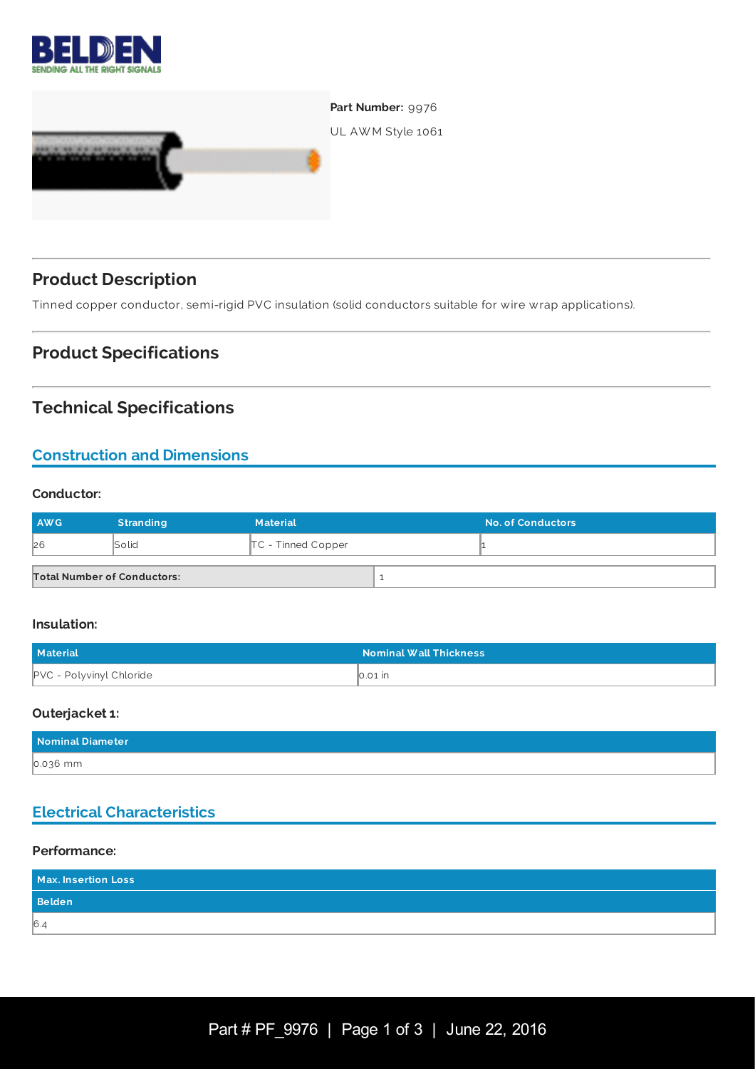



# **Product Description**

Tinned copper conductor, semi-rigid PVC insulation (solid conductors suitable for wire wrap applications).

## **Product Specifications**

## **Technical Specifications**

## **Construction and Dimensions**

#### **Conductor:**

| <b>AWG</b>                         | <b>Stranding</b> | <b>Material</b>      | <b>No. of Conductors</b> |
|------------------------------------|------------------|----------------------|--------------------------|
| 26                                 | <b>Solid</b>     | $TC$ - Tinned Copper |                          |
| <b>Total Number of Conductors:</b> |                  |                      |                          |

#### **Insulation:**

| Material                        | <b>Nominal Wall Thickness</b> |
|---------------------------------|-------------------------------|
| <b>PVC - Polyvinyl Chloride</b> | $\vert$ 0.01 $\vert$ in       |

#### **Outerjacket 1:**

| Nominal Diameter |  |
|------------------|--|
| 0.036 mm         |  |

## **Electrical Characteristics**

#### **Performance:**

| Max. Insertion Loss |  |
|---------------------|--|
| <b>Belden</b>       |  |
| 6.4                 |  |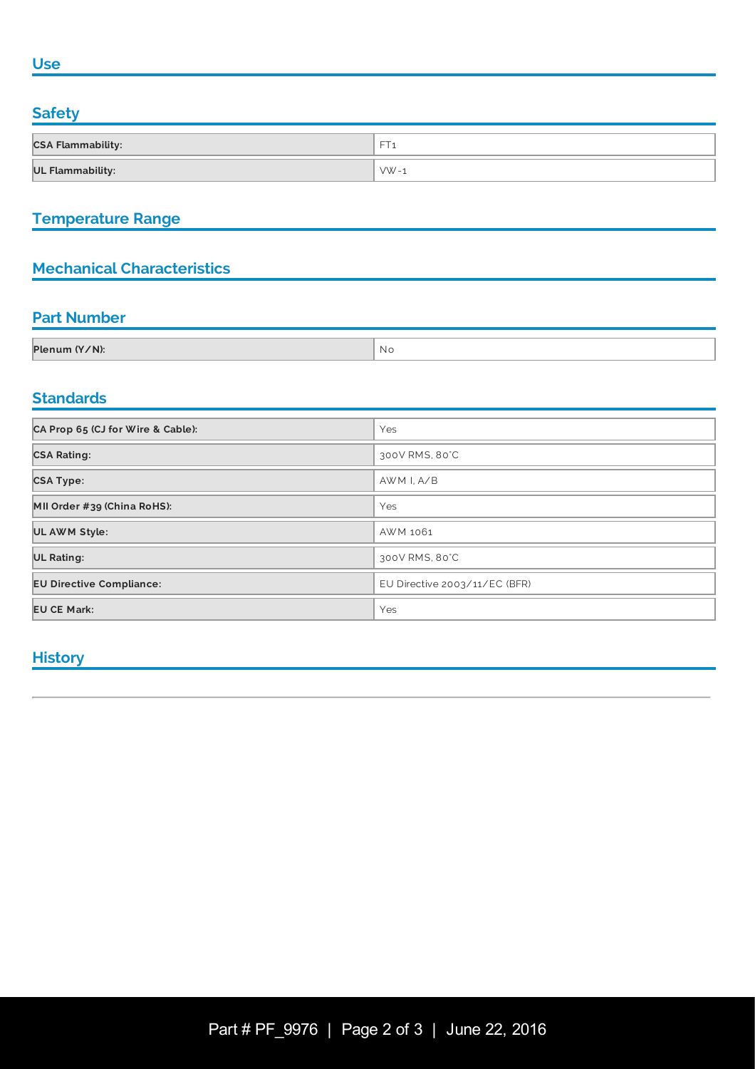#### **Use**

## **Safety**

| <b>CSA Flammability:</b> | ---      |
|--------------------------|----------|
| <b>UL Flammability:</b>  | $VW - 1$ |

## **Temperature Range**

## **Mechanical Characteristics**

## **Part Number**

| Plenum (Y/N): | NI. |
|---------------|-----|
|               |     |

#### **Standards**

| CA Prop 65 (CJ for Wire & Cable): | Yes                           |
|-----------------------------------|-------------------------------|
| <b>CSA Rating:</b>                | 300V RMS, 80°C                |
| <b>CSA Type:</b>                  | AWM I, A/B                    |
| MII Order #39 (China RoHS):       | Yes                           |
| <b>UL AWM Style:</b>              | AWM 1061                      |
| <b>UL Rating:</b>                 | 300V RMS, 80°C                |
| <b>EU Directive Compliance:</b>   | EU Directive 2003/11/EC (BFR) |
| <b>EU CE Mark:</b>                | Yes                           |

#### **History**